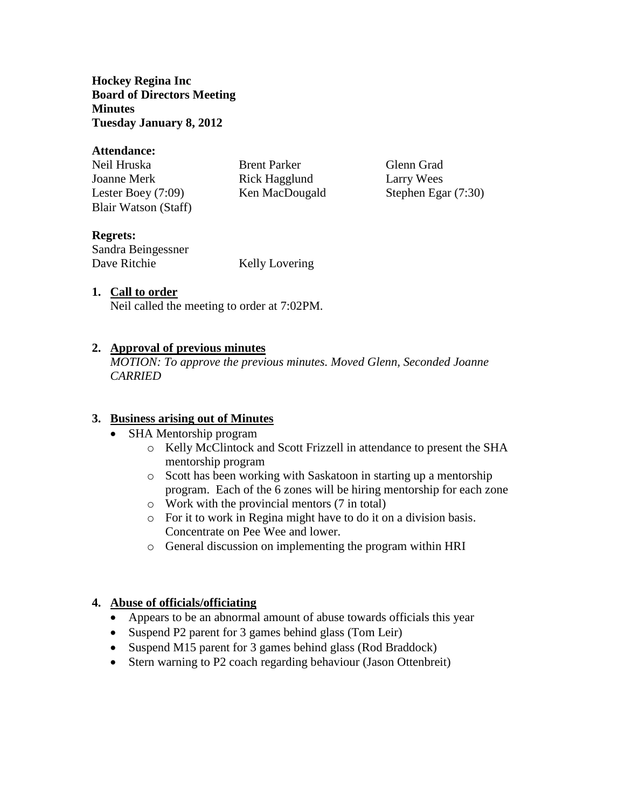**Hockey Regina Inc Board of Directors Meeting Minutes Tuesday January 8, 2012**

#### **Attendance:**

| Neil Hruska          | <b>Brent Parker</b> | Glenn Grad            |
|----------------------|---------------------|-----------------------|
| Joanne Merk          | Rick Hagglund       | Larry Wees            |
| Lester Boey $(7:09)$ | Ken MacDougald      | Stephen Egar $(7:30)$ |
| Blair Watson (Staff) |                     |                       |

# **Regrets:**

Sandra Beingessner Dave Ritchie Kelly Lovering

### **1. Call to order**

Neil called the meeting to order at 7:02PM.

# **2. Approval of previous minutes**

*MOTION: To approve the previous minutes. Moved Glenn, Seconded Joanne CARRIED*

### **3. Business arising out of Minutes**

- SHA Mentorship program
	- o Kelly McClintock and Scott Frizzell in attendance to present the SHA mentorship program
	- o Scott has been working with Saskatoon in starting up a mentorship program. Each of the 6 zones will be hiring mentorship for each zone
	- o Work with the provincial mentors (7 in total)
	- o For it to work in Regina might have to do it on a division basis. Concentrate on Pee Wee and lower.
	- o General discussion on implementing the program within HRI

### **4. Abuse of officials/officiating**

- Appears to be an abnormal amount of abuse towards officials this year
- Suspend P2 parent for 3 games behind glass (Tom Leir)
- Suspend M15 parent for 3 games behind glass (Rod Braddock)
- Stern warning to P2 coach regarding behaviour (Jason Ottenbreit)